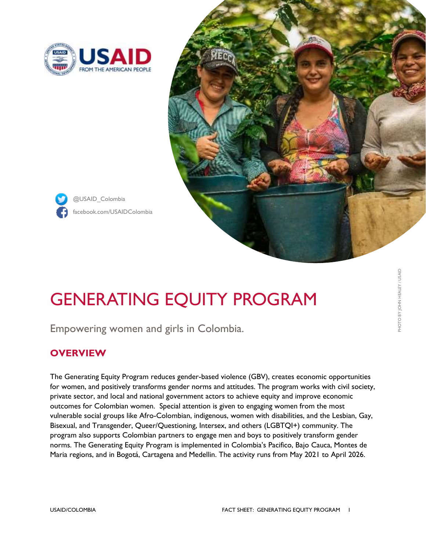

@USAID\_Colombia



# GENERATING EQUITY PROGRAM

Empowering women and girls in Colombia.

## **OVERVIEW**

The Generating Equity Program reduces gender-based violence (GBV), creates economic opportunities for women, and positively transforms gender norms and attitudes. The program works with civil society, private sector, and local and national government actors to achieve equity and improve economic outcomes for Colombian women. Special attention is given to engaging women from the most vulnerable social groups like Afro-Colombian, indigenous, women with disabilities, and the Lesbian, Gay, Bisexual, and Transgender, Queer/Questioning, Intersex, and others (LGBTQI+) community. The program also supports Colombian partners to engage men and boys to positively transform gender norms. The Generating Equity Program is implemented in Colombia's Pacifico, Bajo Cauca, Montes de Maria regions, and in Bogotá, Cartagena and Medellin. The activity runs from May 2021 to April 2026.